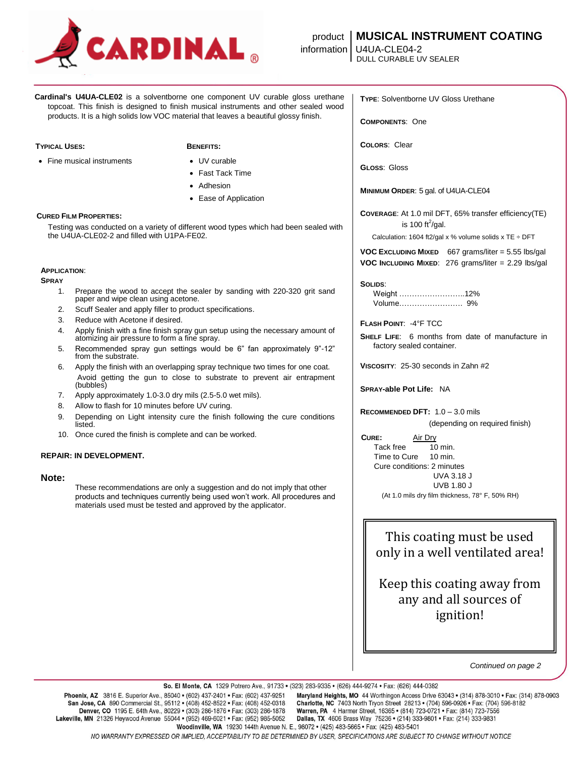

# product **MUSICAL INSTRUMENT COATING**

**Cardinal's U4UA-CLE02** is a solventborne one component UV curable gloss urethane topcoat. This finish is designed to finish musical instruments and other sealed wood products. It is a high solids low VOC material that leaves a beautiful glossy finish.

#### **TYPICAL USES: BENEFITS:**

• Fine musical instruments • UV curable

- 
- Fast Tack Time
- Adhesion
- Ease of Application

## **CURED FILM PROPERTIES:**

Testing was conducted on a variety of different wood types which had been sealed with the U4UA-CLE02-2 and filled with U1PA-FE02.

## **APPLICATION**:

**SPRAY**

- 1. Prepare the wood to accept the sealer by sanding with 220-320 grit sand paper and wipe clean using acetone.
- 2. Scuff Sealer and apply filler to product specifications.
- 3. Reduce with Acetone if desired.
- 4. Apply finish with a fine finish spray gun setup using the necessary amount of atomizing air pressure to form a fine spray.
- 5. Recommended spray gun settings would be 6" fan approximately 9"-12" from the substrate.
- 6. Apply the finish with an overlapping spray technique two times for one coat. Avoid getting the gun to close to substrate to prevent air entrapment (bubbles)
- 7. Apply approximately 1.0-3.0 dry mils (2.5-5.0 wet mils).
- 8. Allow to flash for 10 minutes before UV curing.
- 9. Depending on Light intensity cure the finish following the cure conditions listed.
- 10. Once cured the finish is complete and can be worked.

## **REPAIR: IN DEVELOPMENT.**

# **Note:**

These recommendations are only a suggestion and do not imply that other products and techniques currently being used won't work. All procedures and materials used must be tested and approved by the applicator.

**TYPE**: Solventborne UV Gloss Urethane

**COMPONENTS**: One

**COLORS**: Clear

**GLOSS**: Gloss

**MINIMUM ORDER**: 5 gal. of U4UA-CLE04

**COVERAGE**: At 1.0 mil DFT, 65% transfer efficiency(TE) is 100 ft<sup>2</sup>/gal.

Calculation: 1604 ft2/gal x % volume solids x TE  $\div$  DFT

**VOC EXCLUDING MIXED** 667 grams/liter = 5.55 lbs/gal **VOC INCLUDING MIXED**: 276 grams/liter = 2.29 lbs/gal

## **SOLIDS**:

Weight ……………………..12% Volume……………………. 9%

# **FLASH POINT**: -4°F TCC

**SHELF LIFE**: 6 months from date of manufacture in factory sealed container.

**VISCOSITY**: 25-30 seconds in Zahn #2

**SPRAY-able Pot Life:** NA

**RECOMMENDED DFT:** 1.0 – 3.0 mils

(depending on required finish)

**CURE:** Air Dry Tack free 10 min. Time to Cure 10 min. Cure conditions: 2 minutes UVA 3.18 J UVB 1.80 J (At 1.0 mils dry film thickness, 78° F, 50% RH)

This coating must be used only in a well ventilated area!

Keep this coating away from any and all sources of ignition!

*Continued on page 2*